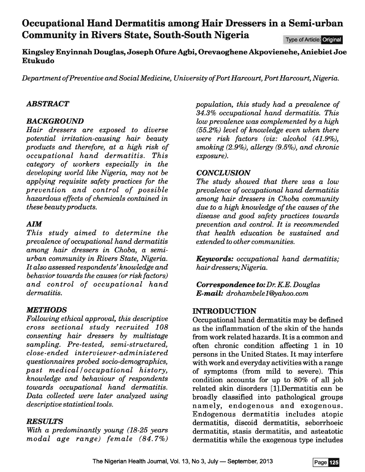# **Occupational Hand Dermatitis among Hair Dressers in a Semi-urban Community in Rivers State, South-South Nigeria**

Type of Article: Original

**Kingsley Enyinnah Douglas, Joseph Ofure Agbi, Orevaoghene Akpovienehe, Aniebiet Joe Etukudo** 

*Department of Preventive and Social Medicine, University of Port Harcourt, Port Harcourt, Nigeria.* 

### *ABSTRACT*

### *BACKGROUND*

*Hair dressers are exposed to diverse potential irritation-causing hair beauty products and therefore, at a high risk of occupational hand dermatitis. This category of workers especially in the developing world like Nigeria, may not be applying requisite safety practices for the prevention and control of possible hazardous effects of chemicals contained in these beauty products.* 

# **AIM**

*This study aimed to determine the prevalence of occupational hand dermatitis among hair dressers in Choba, a semiurban community in Rivers State, Nigeria. It also assessed respondents' knowledge and behavior towards the causes (or risk factors) and control of occupational hand dermatitis.* 

# *METHODS*

*Following ethical approval, this descriptive cross sectional study recruited 108 consenting hair dressers by multistage sampling. Pre-tested, semi-structured, close-ended interviewer-administered questionnaires probed socio-demographics,*   $past \ medical/occupational \ history,$ *knowledge and behaviour of respondents towards occupational hand dermatitis. Data collected were later analyzed using descriptive statistical tools.* 

#### *RESULTS*

*With a predominantly young (18-25 years modal age range) female (84. 7%)*  *population, this study had a prevalence of 34.3% occupational hand dermatitis. This low prevalence was complemented by a high (55.2%) level of knowledge even when there were risk factors (viz: alcohol (41.9%), smoking (2.9%), allergy (9.5%), and chronic exposure).* 

#### *CONCLUSION*

*The study showed that there was a low prevalence of occupational hand dermatitis among hair dressers in Choba community due to a high knowledge of the causes of the disease and good safety practices towards prevention and control. It is recommended that health education be sustained and extended to other communities.* 

*Keywords: occupational hand dermatitis; hair dressers; Nigeria.* 

*Correspondence to: Dr. KE. Douglas E-mail: drohambele1@yahoo.com* 

# **INTRODUCTION**

Occupational hand dermatitis may be defined as the inflammation of the skin of the hands from work related hazards. It is a common and often chronic condition affecting **1** in 10 persons in the United States. It may interfere with work and everyday activities with a range of symptoms (from mild to severe). This condition accounts for up to 80% of all job related skin disorders [1].Dermatitis can be broadly classified into pathological groups namely, endogenous and exogenous. Endogenous dermatitis includes atopic dermatitis, discoid dermatitis, seborrhoeic dermatitis, stasis dermatitis, and asteatotic dermatitis while the exogenous type includes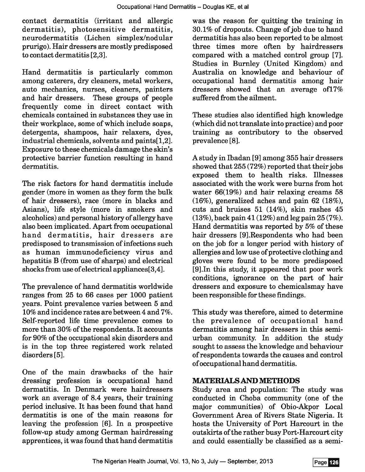contact dermatitis (irritant and allergic dermatitis), photosensitive dermatitis, neurodermatitis (Lichen simplex/nodular prurigo). Hair dressers are mostly predisposed to contact dermatitis [2,3].

Hand dermatitis is particularly common among caterers, dry cleaners, metal workers, auto mechanics, nurses, cleaners, painters and hair dressers. These groups of people frequently come in direct contact with chemicals contained in substances they use in their workplace, some of which include soaps, detergents, shampoos, hair relaxers, dyes, industrial chemicals, solvents and paints[1,2]. Exposure to these chemicals damage the skin's protective barrier function resulting in hand dermatitis.

The risk factors for hand dermatitis include gender (more in women as they form the bulk of hair dressers), race (more in blacks and Asians), life style (more in smokers and alcoholics) and personal history of allergy have also been implicated. Apart from occupational hand dermatitis, hair dressers are predisposed to transmission of infections such as human immunodeficiency virus and hepatitis B (from use of sharps) and electrical shocks from use of electrical appliances[3,4].

The prevalence of hand dermatitis worldwide ranges from 25 to 66 cases per 1000 patient years. Point prevalence varies between 5 and 10% and incidence rates are between 4 and 7%. Self-reported life time prevalence comes to more than 30% of the respondents. It accounts for 90% of the occupational skin disorders and is in the top three registered work related disorders [5].

One of the main drawbacks of the hair dressing profession is occupational hand dermatitis. In Denmark were hairdressers work an average of 8.4 years, their training period inclusive. It has been found that hand dermatitis is one of the main reasons for leaving the profession [6]. In a prospective follow-up study among German hairdressing apprentices, it was found that hand dermatitis

was the reason for quitting the training in 30.1% of dropouts. Change of job due to hand dermatitis has also been reported to be almost three times more often by hairdressers compared with a matched control group [7]. Studies in Burnley (United Kingdom) and Australia on knowledge and behaviour of occupational hand dermatitis among hair dressers showed that an average of17% suffered from the ailment.

These studies also identified high knowledge (which did not translate into practice) and poor training as contributory to the observed prevalence [8].

A study in Ibadan [9] among 355 hair dressers showed that 255 (72%) reported that their jobs exposed them to health risks. Illnesses associated with the work were burns from hot water 66(19%) and hair relaxing creams 58 (16%), generalized aches and pain 62 (18%), cuts and bruises 51 (14%), skin rashes 45 (13%), back pain 41 (12%) and leg pain 25 (7%). Hand dermatitis was reported by 5% of these hair dressers [9].Respondents who had been on the job for a longer period with history of allergies and low use of protective clothing and gloves were found to be more predisposed [9].1n this study, it appeared that poor work conditions, ignorance on the part of hair dressers and exposure to chemicalsmay have been responsible for these findings.

This study was therefore, aimed to determine the prevalence of occupational hand dermatitis among hair dressers in this semiurban community. In addition the study sought to assess the knowledge and behaviour of respondents towards the causes and control of occupational hand dermatitis.

# **MATERIALS AND METHODS**

Study area and population: The study was conducted in Choba community (one of the major communities) of Obio-Akpor Local Government Area of Rivers State Nigeria. It hosts the University of Port Harcourt in the outskirts of the rather busy Port-Harcourt city and could essentially be classified as a semi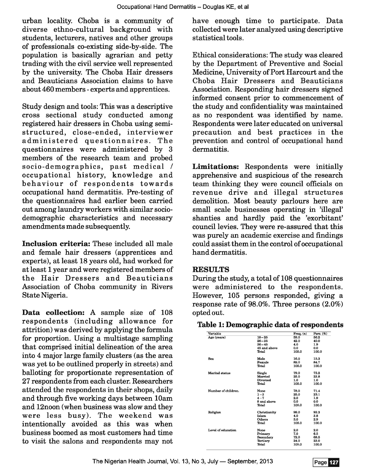urban locality. Choba is a community of diverse ethno-cultural background with students, lecturers, natives and other groups of professionals co-existing side-by-side. The population is basically agrarian and petty trading with the civil service well represented by the university. The Choba Hair dressers and Beauticians Association claims to have about 460 members- experts and apprentices.

Study design and tools: This was a descriptive cross sectional study conducted among registered hair dressers in Choba using semistructured, close-ended, interviewer administered questionnaires. The questionnaires were administered by 3 members of the research team and probed socio-demographics, past medical / occupational history, knowledge and behaviour of respondents towards occupational hand dermatitis. Pre-testing of the questionnaires had earlier been carried out among laundry workers with similar sociodemographic characteristics and necessary amendments made subsequently.

Inclusion criteria: These included all male and female hair dressers (apprentices and experts), at least 18 years old, had worked for at least 1 year and were registered members of the Hair Dressers and Beauticians Association of Choba community in Rivers State Nigeria.

Data collection: A sample size of 108 respondents (including allowance for attrition) was derived by applying the formula for proportion. Using a multistage sampling that comprised initial delineation of the area into 4 major large family clusters (as the area was yet to be outlined properly in streets) and balloting for proportionate representation of 27 respondents from each cluster. Researchers attended the respondents in their shops, daily and through five working days between lOam and 12noon (when business was slow and they were less busy). The weekend was intentionally avoided as this was when business boomed as most customers had time to visit the salons and respondents may not have enough time to participate. Data collected were later analyzed using descriptive statistical tools.

Ethical considerations: The study was cleared by the Department of Preventive and Social Medicine, University of Port Harcourt and the Choba Hair Dressers and Beauticians Association. Responding hair dressers signed informed consent prior to commencement of the study and confidentiality was maintained as no respondent was identified by name. Respondents were later educated on universal precaution and best practices in the prevention and control of occupational hand dermatitis.

Limitations: Respondents were initially apprehensive and suspicious of the research team thinking they were council officials on revenue drive and illegal structures demolition. Most beauty parlours here are small scale businesses operating in 'illegal' shanties and hardly paid the 'exorbitant' council levies. They were re-assured that this was purely an academic exercise and findings could assist them in the control of occupational hand dermatitis.

# **RESULTS**

During the study, a total of 108 questionnaires were administered to the respondents. However, 105 persons responded, giving a response rate of 98.0%. Three persons (2.0%) opted out.

# Table 1: Demographic data of respondents

| Variable            |              | Freq. $(n)$ | Perc. (%) |
|---------------------|--------------|-------------|-----------|
| Age (years)         | $18 - 25$    | 59.0        | 56.2      |
|                     | $26 - 35$    | 42.0        | 40.0      |
|                     | $36 - 45$    | 4.0         | 1.9       |
|                     | 45 and above | 0.0         | 0.0       |
|                     | Total        | 105.0       | 100.0     |
| Sex                 | Male         | 16.0        | 15.3      |
|                     | Female       | 89.0        | 84.7      |
|                     | Total        | 105.0       | 100.0     |
| Marital status      | Single       | 79.0        | 75.2      |
|                     | Married      | 25.0        | 23.8      |
|                     | Divorced     | 1.0         | 1.0       |
|                     | Total        | 105.0       | 100.0     |
| Number of children. | None         | 78.0        | 71.4      |
|                     | $1 - 3$      | 25.0        | 23.1      |
|                     | $4 - 7$      | 2.0         | 1.9       |
|                     | 8 and above  | 0.0         | 0.0       |
|                     | Total        | 105.0       | 100.0     |
| Religion            | Christianity | 98.0        | 93.3      |
|                     | <b>Islam</b> | 4.0         | 3.8       |
|                     | Others       | 3.0         | 2.9       |
|                     | Total        | 105.0       | 100.0     |
| Level of education  | None         | 2.0         | 2.0       |
|                     | Primary      | 7.0         | 6.5       |
|                     | Secondary    | 72.0        | 68.5      |
|                     | Tertiary     | 24.0        | 23.0      |
|                     | Total        | 105.0       | 100.0     |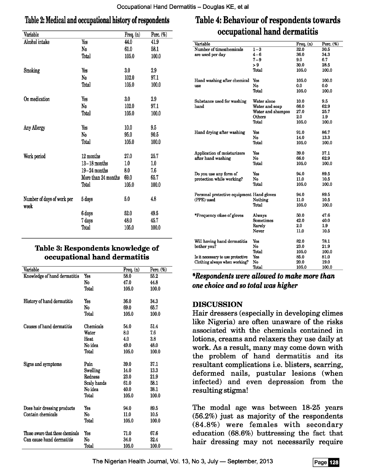# Table 2: Medical and occupational history of respondents

| Variable                           |                     | Freq. $(n)$ | Perc. (%) |
|------------------------------------|---------------------|-------------|-----------|
| Alcohol intake                     | Yes                 | 44.0        | 41.9      |
|                                    | $\mathbf{N_0}$      | 61.0        | 58.1      |
|                                    | Total               | 105.0       | 100.0     |
| Smoking                            | Yes                 | $3.0\,$     | 2.9       |
|                                    | No                  | 102.0       | 97.1      |
|                                    | Total               | 105.0       | 100.0     |
| On medication                      | Yes                 | 3.0         | 2.9       |
|                                    | No                  | 102.0       | 97.1      |
|                                    | Total               | 105.0       | 100.0     |
| Any Allergy                        | Yes                 | 10.0        | 9.5       |
|                                    | No                  | 95.0        | 90.5      |
|                                    | Total               | 105.0       | 100.0     |
| Work period                        | 12 months           | 27.0        | 25.7      |
|                                    | $13-18$ months      | $1.0\,$     | 1.0       |
|                                    | $19-24$ months      | 8.0         | 7.6       |
|                                    | More than 24 months | 69.0        | 65.7      |
|                                    | Total               | 105.0       | 100.0     |
| Number of days of work per<br>week | 5 days              | 5.0         | 4,8       |
|                                    | 6 days              | 52.0        | 49.5      |
|                                    | 7 days              | 48.0        | 45.7      |
|                                    | Total               | 105.0       | 100.0     |

# Table 3: Respondents knowledge of occupational hand dermatitis

| Variable                                         |             | Freq. $(n)$ | Perc. $(\%)$ |
|--------------------------------------------------|-------------|-------------|--------------|
| Knowledge of hand dermatitis                     | Yes         | 58.0        | 55.2         |
|                                                  | No          | 47.0        | 44.8         |
|                                                  | Total       | 105.0       | 100.0        |
| History of hand dermatitis                       | Yes         | 36.0        | 34.3         |
|                                                  | No          | 69.0        | 65.7         |
|                                                  | Total       | 105.0       | 100.0        |
| Causes of hand dermatitis                        | Chemicals   | 54.0        | 51.4         |
|                                                  | Water       | 8.0         | 7.6          |
|                                                  | Heat        | 4.0         | 3.8          |
|                                                  | No idea     | 49.0        | 48.0         |
|                                                  | Total       | 105.0       | 100.0        |
| Signs and symptoms                               | Pain        | 39.0        | 37.1         |
|                                                  | Swelling    | 14.0        | 13.3         |
|                                                  | Redness     | 23.0        | 21.9         |
|                                                  | Scaly hands | 61.0        | 58.1         |
|                                                  | No idea     | 40.0        | 38.1         |
|                                                  | Total       | 105.0       | 100.0        |
| Does hair dressing products<br>Contain chemicals | Yes         | 94.0        | 89.5         |
|                                                  | No          | 11.0        | 10.5         |
|                                                  | Total       | 105.0       | 100.0        |
| Those aware that these chemicals                 | Yes         | 71.0        | 67.6         |
| Can cause hand dermatitis                        | No          | 34.0        | 32.4         |
|                                                  | Total       | 105.0       | 100.0        |

# Table 4: Behaviour of respondents towards occupational hand dermatitis

| Variable                                  |                   | Freq. (n) | Perc. (%) |
|-------------------------------------------|-------------------|-----------|-----------|
| Number of timeschemicals                  | $1 - 3$           | 32.0      | 30.5      |
| are used per day                          | $4-6$             | 36.0      | 34.3      |
|                                           | $7 - 9$           | 9.0       | 6.7       |
|                                           | > 9               | 30.0      | 28.5      |
|                                           | Thtal             | 105.0     | 100.0     |
|                                           |                   |           |           |
| Hand washing after chemical               | Yes               | 105.0     | 100.0     |
| use                                       | No                | 0.0       | 0.0       |
|                                           | Total             | 105.0     | 100.0     |
| Substance used for washing                | Water alone       | 10.0      | 9.5       |
| hand                                      | Water and soap    | 66.0      | 62.9      |
|                                           | Water and shampoo | 27.0      | 25.7      |
|                                           | Others            | 2.0       | 1.9       |
|                                           | Thtal             | 105.0     | 100.0     |
|                                           |                   |           |           |
| Hand drying after washing                 | Yes               | 91.0      | 86.7      |
|                                           | No                | 14.0      | 13.3      |
|                                           | Total             | 105.0     | 100.0     |
| Application of moisturizers               | Yes               | 39.0      | 37.1      |
| after hand washing                        | No                | 66.0      | 62.9      |
|                                           | Total             | 105.0     | 100.0     |
|                                           |                   |           |           |
| Do you use any form of                    | Yes               | 94.0      | 89.5      |
| protection while working?                 | No                | 11.0      | 10.5      |
|                                           | Total             | 105.0     | 100.0     |
| Personal protective equipment Hand gloves |                   | 94.0      | 89.5      |
| (PPE) used                                | Nothing           | 11.0      | 10.5      |
|                                           | Total             | 105.0     | 100.0     |
|                                           |                   |           |           |
| *Frequency of a gloves                    | Always            | 50.0      | 47.6      |
|                                           | Sometimes         | 42.0      | 40.0      |
|                                           | Rarely            | 2.0       | 1.9       |
|                                           | Never             | 11.0      | 10.5      |
|                                           | Yes               | 82.0      | 78.1      |
| Will having hand dermatitis               | No                |           | 21.9      |
| bother you?                               |                   | 23.0      |           |
|                                           | Total             | 105.0     | 100.0     |
| Is it necessary to use protective         | Yes               | 85.0      | 81.0      |
| Clothing always when working?             | No                | 20.0      | 19.0      |
|                                           | Total             | 105.0     | 100.0     |

*\*Respondents were allowed to make more than one choice and so total was higher* 

# DISCUSSION

Hair dressers (especially in developing climes like Nigeria) are often unaware of the risks associated with the chemicals contained in lotions, creams and relaxers they use daily at work. As a result, many may come down with the problem of hand dermatitis and its resultant complications i.e. blisters, scarring, deformed nails, pustular lesions (when infected) and even depression from the resulting stigma!

The modal age was between 18-25 years (56.2%) just as majority of the respondents (84.8%) were females with secondary education (68.6%) buttressing the fact that hair dressing may not necessarily require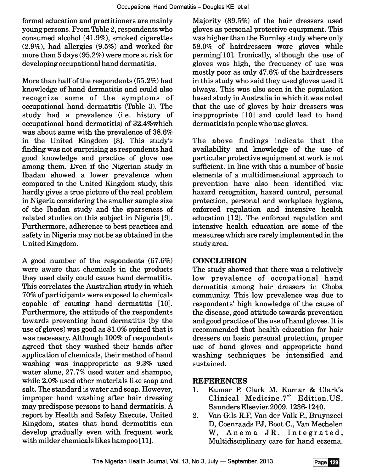formal education and practitioners are mainly young persons. From Table 2, respondents who consumed alcohol (41.9%), smoked cigarettes (2.9%), had allergies (9.5%) and worked for more than 5 days (95.2%) were more at risk for developing occupational hand dermatitis.

More than half of the respondents (55.2%) had knowledge of hand dermatitis and could also recognize some of the symptoms of occupational hand dermatitis (Table 3). The study had a prevalence (i.e. history of occupational hand dermatitis) of 32.4%which was about same with the prevalence of 38.6% in the United Kingdom [8]. This study's finding was not surprising as respondents had good knowledge and practice of glove use among them. Even if the Nigerian study in Ibadan showed a lower prevalence when compared to the United Kingdom study, this hardly gives a true picture of the real problem in Nigeria considering the smaller sample size of the Ibadan study and the sparseness of related studies on this subject in Nigeria [9]. Furthermore, adherence to best practices and safety in Nigeria may not be as obtained in the United Kingdom.

A good number of the respondents (67.6%) were aware that chemicals in the products they used daily could cause hand dermatitis. This correlates the Australian study in which 70% of participants were exposed to chemicals capable of causing hand dermatitis [10]. Furthermore, the attitude of the respondents towards preventing hand dermatitis (by the use of gloves) was good as 81.0% opined that it was necessary. Although 100% of respondents agreed that they washed their hands after application of chemicals, their method of hand washing was inappropriate as 9.3% used water alone, 27.7% used water and shampoo, while 2.0% used other materials like soap and salt. The standard is water and soap. However, improper hand washing after hair dressing may predispose persons to hand dermatitis. A report by Health and Safety Execute, United Kingdom, states that hand dermatitis can develop gradually even with frequent work with milder chemicals likes hampoo [11].

Majority (89.5%) of the hair dressers used gloves as personal protective equipment. This was higher than the Burnley study where only 58.0% of hairdressers wore gloves while perming[10]. Ironically, although the use of gloves was high, the frequency of use was mostly poor as only 47.6% of the hairdressers in this study who said they used gloves used it always. This was also seen in the population based study in Australia in which it was noted that the use of gloves by hair dressers was inappropriate [10] and could lead to hand dermatitis in people who use gloves.

The above findings indicate that the availability and knowledge of the use of particular protective equipment at work is not sufficient. In line with this a number of basic elements of a multidimensional approach to prevention have also been identified viz: hazard recognition, hazard control, personal protection, personal and workplace hygiene, enforced regulation and intensive health education [12]. The enforced regulation and intensive health education are some of the measures which are rarely implemented in the study area.

# **CONCLUSION**

The study showed that there was a relatively low prevalence of occupational hand dermatitis among hair dressers in Choba community. This low prevalence was due to respondents' high knowledge of the cause of the disease, good attitude towards prevention and good practice of the use ofhand gloves. It is recommended that health education for hair dressers on basic personal protection, proper use of hand gloves and appropriate hand washing techniques be intensified and sustained.

# **REFERENCES**

- 1. Kumar P, Clark M. Kumar & Clark's Clinical Medicine.  $7<sup>th</sup>$  Edition. US. Saunders Elsevier.2009. 1236-1240.
- 2. Van Gils R.F, Van der Valk P., Bruynzeel D, Coenraads PJ, Boot C., Van Mechelen W, Anema JR. Integrated, Multidisciplinary care for hand eczema.